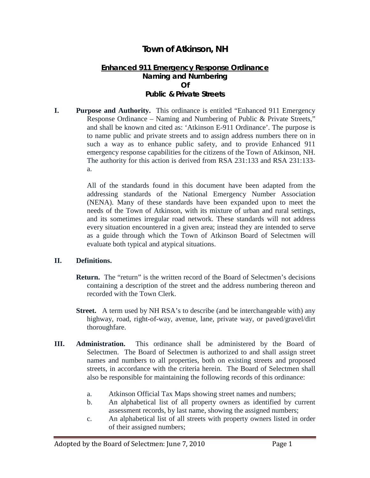## **Town of Atkinson, NH**

## **Enhanced 911 Emergency Response Ordinance Naming and Numbering Of Public & Private Streets**

**I. Purpose and Authority.** This ordinance is entitled "Enhanced 911 Emergency Response Ordinance – Naming and Numbering of Public & Private Streets," and shall be known and cited as: 'Atkinson E-911 Ordinance'. The purpose is to name public and private streets and to assign address numbers there on in such a way as to enhance public safety, and to provide Enhanced 911 emergency response capabilities for the citizens of the Town of Atkinson, NH. The authority for this action is derived from RSA 231:133 and RSA 231:133 a.

> All of the standards found in this document have been adapted from the addressing standards of the National Emergency Number Association (NENA). Many of these standards have been expanded upon to meet the needs of the Town of Atkinson, with its mixture of urban and rural settings, and its sometimes irregular road network. These standards will not address every situation encountered in a given area; instead they are intended to serve as a guide through which the Town of Atkinson Board of Selectmen will evaluate both typical and atypical situations.

## **II. Definitions.**

- **Return.** The "return" is the written record of the Board of Selectmen's decisions containing a description of the street and the address numbering thereon and recorded with the Town Clerk.
- **Street.** A term used by NH RSA's to describe (and be interchangeable with) any highway, road, right-of-way, avenue, lane, private way, or paved/gravel/dirt thoroughfare.
- **III. Administration.** This ordinance shall be administered by the Board of Selectmen. The Board of Selectmen is authorized to and shall assign street names and numbers to all properties, both on existing streets and proposed streets, in accordance with the criteria herein. The Board of Selectmen shall also be responsible for maintaining the following records of this ordinance:
	- a. Atkinson Official Tax Maps showing street names and numbers;
	- b. An alphabetical list of all property owners as identified by current assessment records, by last name, showing the assigned numbers;
	- c. An alphabetical list of all streets with property owners listed in order of their assigned numbers;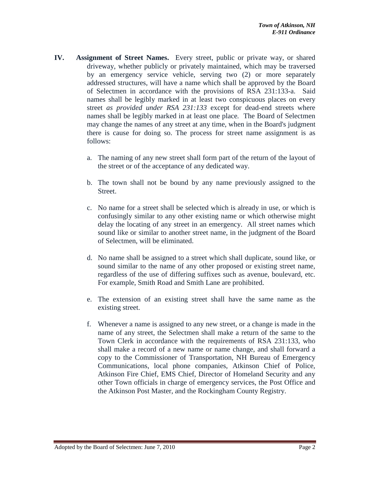- **IV. Assignment of Street Names.** Every street, public or private way, or shared driveway, whether publicly or privately maintained, which may be traversed by an emergency service vehicle, serving two (2) or more separately addressed structures, will have a name which shall be approved by the Board of Selectmen in accordance with the provisions of RSA 231:133-a. Said names shall be legibly marked in at least two conspicuous places on every street *as provided under RSA 231:133* except for dead-end streets where names shall be legibly marked in at least one place*.* The Board of Selectmen may change the names of any street at any time, when in the Board's judgment there is cause for doing so. The process for street name assignment is as follows:
	- a. The naming of any new street shall form part of the return of the layout of the street or of the acceptance of any dedicated way.
	- b. The town shall not be bound by any name previously assigned to the Street.
	- c. No name for a street shall be selected which is already in use, or which is confusingly similar to any other existing name or which otherwise might delay the locating of any street in an emergency. All street names which sound like or similar to another street name, in the judgment of the Board of Selectmen, will be eliminated.
	- d. No name shall be assigned to a street which shall duplicate, sound like, or sound similar to the name of any other proposed or existing street name, regardless of the use of differing suffixes such as avenue, boulevard, etc. For example, Smith Road and Smith Lane are prohibited.
	- e. The extension of an existing street shall have the same name as the existing street.
	- f. Whenever a name is assigned to any new street, or a change is made in the name of any street, the Selectmen shall make a return of the same to the Town Clerk in accordance with the requirements of RSA 231:133, who shall make a record of a new name or name change, and shall forward a copy to the Commissioner of Transportation, NH Bureau of Emergency Communications, local phone companies, Atkinson Chief of Police, Atkinson Fire Chief, EMS Chief, Director of Homeland Security and any other Town officials in charge of emergency services, the Post Office and the Atkinson Post Master, and the Rockingham County Registry.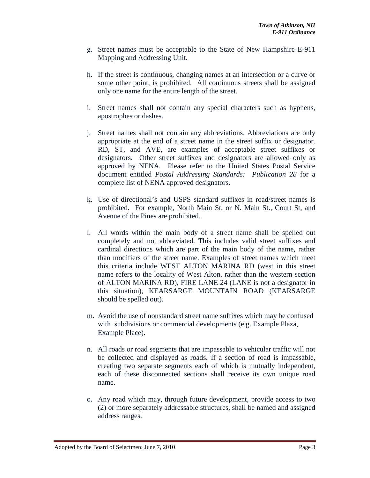- g. Street names must be acceptable to the State of New Hampshire E-911 Mapping and Addressing Unit.
- h. If the street is continuous, changing names at an intersection or a curve or some other point, is prohibited. All continuous streets shall be assigned only one name for the entire length of the street.
- i. Street names shall not contain any special characters such as hyphens, apostrophes or dashes.
- j. Street names shall not contain any abbreviations. Abbreviations are only appropriate at the end of a street name in the street suffix or designator. RD, ST, and AVE, are examples of acceptable street suffixes or designators. Other street suffixes and designators are allowed only as approved by NENA. Please refer to the United States Postal Service document entitled *Postal Addressing Standards: Publication 28* for a complete list of NENA approved designators.
- k. Use of directional's and USPS standard suffixes in road/street names is prohibited. For example, North Main St. or N. Main St., Court St, and Avenue of the Pines are prohibited.
- l. All words within the main body of a street name shall be spelled out completely and not abbreviated. This includes valid street suffixes and cardinal directions which are part of the main body of the name, rather than modifiers of the street name. Examples of street names which meet this criteria include WEST ALTON MARINA RD (west in this street name refers to the locality of West Alton, rather than the western section of ALTON MARINA RD), FIRE LANE 24 (LANE is not a designator in this situation), KEARSARGE MOUNTAIN ROAD (KEARSARGE should be spelled out).
- m. Avoid the use of nonstandard street name suffixes which may be confused with subdivisions or commercial developments (e.g. Example Plaza, Example Place).
- n. All roads or road segments that are impassable to vehicular traffic will not be collected and displayed as roads. If a section of road is impassable, creating two separate segments each of which is mutually independent, each of these disconnected sections shall receive its own unique road name.
- o. Any road which may, through future development, provide access to two (2) or more separately addressable structures, shall be named and assigned address ranges.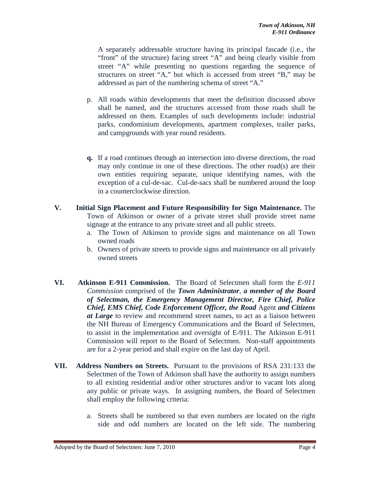A separately addressable structure having its principal fascade (i.e., the "front" of the structure) facing street "A" and being clearly visible from street "A" while presenting no questions regarding the sequence of structures on street "A," but which is accessed from street "B," may be addressed as part of the numbering schema of street "A."

- p. All roads within developments that meet the definition discussed above shall be named, and the structures accessed from those roads shall be addressed on them. Examples of such developments include: industrial parks, condominium developments, apartment complexes, trailer parks, and campgrounds with year round residents.
- **q.** If a road continues through an intersection into diverse directions, the road may only continue in one of these directions. The other road(s) are their own entities requiring separate, unique identifying names, with the exception of a cul-de-sac. Cul-de-sacs shall be numbered around the loop in a counterclockwise direction.
- **V. Initial Sign Placement and Future Responsibility for Sign Maintenance.** The Town of Atkinson or owner of a private street shall provide street name signage at the entrance to any private street and all public streets.
	- a. The Town of Atkinson to provide signs and maintenance on all Town owned roads
	- b. Owners of private streets to provide signs and maintenance on all privately owned streets
- **VI. Atkinson E-911 Commission.** The Board of Selectmen shall form the *E-911 Commission* comprised of the *Town Administrator, a member of the Board of Selectman, the Emergency Management Director, Fire Chief, Police Chief, EMS Chief, Code Enforcement Officer, the Road* Agent *and Citizens at Large* to review and recommend street names, to act as a liaison between the NH Bureau of Emergency Communications and the Board of Selectmen, to assist in the implementation and oversight of E-911. The Atkinson E-911 Commission will report to the Board of Selectmen. Non-staff appointments are for a 2-year period and shall expire on the last day of April.
- **VII. Address Numbers on Streets.** Pursuant to the provisions of RSA 231:133 the Selectmen of the Town of Atkinson shall have the authority to assign numbers to all existing residential and/or other structures and/or to vacant lots along any public or private ways. In assigning numbers, the Board of Selectmen shall employ the following criteria:
	- a. Streets shall be numbered so that even numbers are located on the right side and odd numbers are located on the left side. The numbering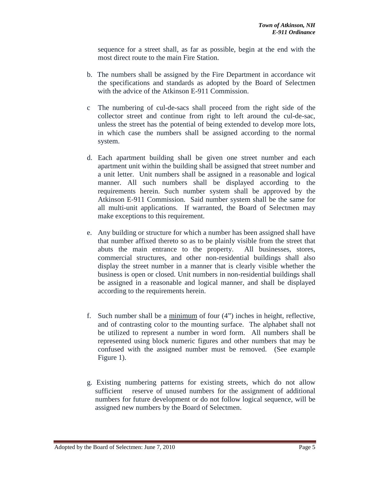sequence for a street shall, as far as possible, begin at the end with the most direct route to the main Fire Station.

- b. The numbers shall be assigned by the Fire Department in accordance wit the specifications and standards as adopted by the Board of Selectmen with the advice of the Atkinson E-911 Commission.
- c The numbering of cul-de-sacs shall proceed from the right side of the collector street and continue from right to left around the cul-de-sac, unless the street has the potential of being extended to develop more lots, in which case the numbers shall be assigned according to the normal system.
- d. Each apartment building shall be given one street number and each apartment unit within the building shall be assigned that street number and a unit letter. Unit numbers shall be assigned in a reasonable and logical manner. All such numbers shall be displayed according to the requirements herein. Such number system shall be approved by the Atkinson E-911 Commission. Said number system shall be the same for all multi-unit applications. If warranted, the Board of Selectmen may make exceptions to this requirement.
- e. Any building or structure for which a number has been assigned shall have that number affixed thereto so as to be plainly visible from the street that abuts the main entrance to the property. All businesses, stores, commercial structures, and other non-residential buildings shall also display the street number in a manner that is clearly visible whether the business is open or closed. Unit numbers in non-residential buildings shall be assigned in a reasonable and logical manner, and shall be displayed according to the requirements herein.
- f. Such number shall be a minimum of four (4") inches in height, reflective, and of contrasting color to the mounting surface. The alphabet shall not be utilized to represent a number in word form. All numbers shall be represented using block numeric figures and other numbers that may be confused with the assigned number must be removed. (See example Figure 1).
- g. Existing numbering patterns for existing streets, which do not allow sufficient reserve of unused numbers for the assignment of additional numbers for future development or do not follow logical sequence, will be assigned new numbers by the Board of Selectmen.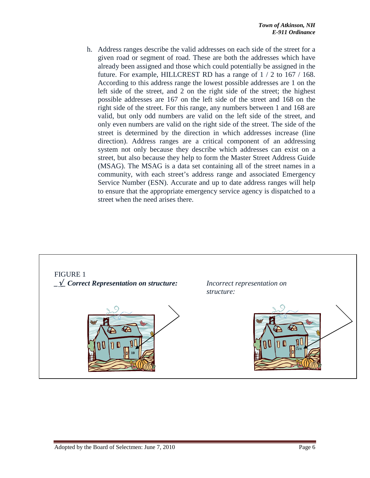h. Address ranges describe the valid addresses on each side of the street for a given road or segment of road. These are both the addresses which have already been assigned and those which could potentially be assigned in the future. For example, HILLCREST RD has a range of 1 / 2 to 167 / 168. According to this address range the lowest possible addresses are 1 on the left side of the street, and 2 on the right side of the street; the highest possible addresses are 167 on the left side of the street and 168 on the right side of the street. For this range, any numbers between 1 and 168 are valid, but only odd numbers are valid on the left side of the street, and only even numbers are valid on the right side of the street. The side of the street is determined by the direction in which addresses increase (line direction). Address ranges are a critical component of an addressing system not only because they describe which addresses can exist on a street, but also because they help to form the Master Street Address Guide (MSAG). The MSAG is a data set containing all of the street names in a community, with each street's address range and associated Emergency Service Number (ESN). Accurate and up to date address ranges will help to ensure that the appropriate emergency service agency is dispatched to a street when the need arises there.

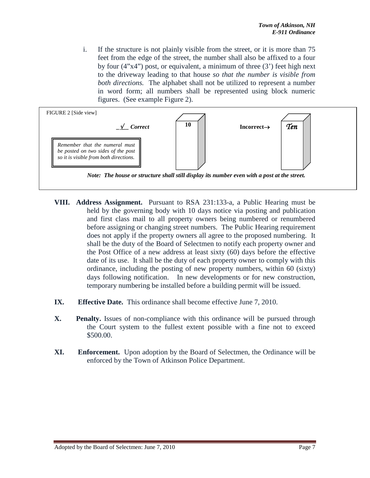i. If the structure is not plainly visible from the street, or it is more than 75 feet from the edge of the street, the number shall also be affixed to a four by four (4"x4") post, or equivalent, a minimum of three (3') feet high next to the driveway leading to that house *so that the number is visible from both directions.* The alphabet shall not be utilized to represent a number in word form; all numbers shall be represented using block numeric figures. (See example Figure 2).



- **VIII. Address Assignment.** Pursuant to RSA 231:133-a, a Public Hearing must be held by the governing body with 10 days notice via posting and publication and first class mail to all property owners being numbered or renumbered before assigning or changing street numbers. The Public Hearing requirement does not apply if the property owners all agree to the proposed numbering. It shall be the duty of the Board of Selectmen to notify each property owner and the Post Office of a new address at least sixty (60) days before the effective date of its use. It shall be the duty of each property owner to comply with this ordinance, including the posting of new property numbers, within 60 (sixty) days following notification. In new developments or for new construction, temporary numbering be installed before a building permit will be issued.
- **IX. Effective Date.** This ordinance shall become effective June 7, 2010.
- **X. Penalty.** Issues of non-compliance with this ordinance will be pursued through the Court system to the fullest extent possible with a fine not to exceed \$500.00.
- **XI. Enforcement.** Upon adoption by the Board of Selectmen, the Ordinance will be enforced by the Town of Atkinson Police Department.